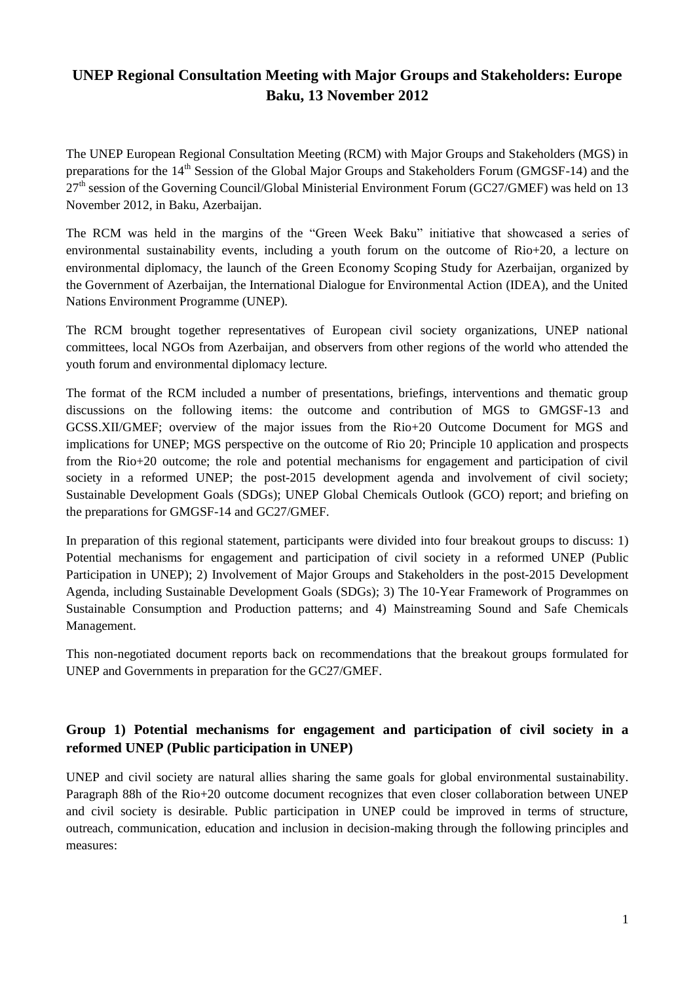# **UNEP Regional Consultation Meeting with Major Groups and Stakeholders: Europe Baku, 13 November 2012**

The UNEP European Regional Consultation Meeting (RCM) with Major Groups and Stakeholders (MGS) in preparations for the 14<sup>th</sup> Session of the Global Major Groups and Stakeholders Forum (GMGSF-14) and the  $27<sup>th</sup>$  session of the Governing Council/Global Ministerial Environment Forum (GC27/GMEF) was held on 13 November 2012, in Baku, Azerbaijan.

The RCM was held in the margins of the "Green Week Baku" initiative that showcased a series of environmental sustainability events, including a youth forum on the outcome of Rio+20, a lecture on environmental diplomacy, the launch of the Green Economy Scoping Study for Azerbaijan, organized by the Government of Azerbaijan, the International Dialogue for Environmental Action (IDEA), and the United Nations Environment Programme (UNEP).

The RCM brought together representatives of European civil society organizations, UNEP national committees, local NGOs from Azerbaijan, and observers from other regions of the world who attended the youth forum and environmental diplomacy lecture.

The format of the RCM included a number of presentations, briefings, interventions and thematic group discussions on the following items: the outcome and contribution of MGS to GMGSF-13 and GCSS.XII/GMEF; overview of the major issues from the Rio+20 Outcome Document for MGS and implications for UNEP; MGS perspective on the outcome of Rio 20; Principle 10 application and prospects from the Rio+20 outcome; the role and potential mechanisms for engagement and participation of civil society in a reformed UNEP; the post-2015 development agenda and involvement of civil society; Sustainable Development Goals (SDGs); UNEP Global Chemicals Outlook (GCO) report; and briefing on the preparations for GMGSF-14 and GC27/GMEF.

In preparation of this regional statement, participants were divided into four breakout groups to discuss: 1) Potential mechanisms for engagement and participation of civil society in a reformed UNEP (Public Participation in UNEP); 2) Involvement of Major Groups and Stakeholders in the post-2015 Development Agenda, including Sustainable Development Goals (SDGs); 3) The 10-Year Framework of Programmes on Sustainable Consumption and Production patterns; and 4) Mainstreaming Sound and Safe Chemicals Management.

This non-negotiated document reports back on recommendations that the breakout groups formulated for UNEP and Governments in preparation for the GC27/GMEF.

## **Group 1) Potential mechanisms for engagement and participation of civil society in a reformed UNEP (Public participation in UNEP)**

UNEP and civil society are natural allies sharing the same goals for global environmental sustainability. Paragraph 88h of the Rio+20 outcome document recognizes that even closer collaboration between UNEP and civil society is desirable. Public participation in UNEP could be improved in terms of structure, outreach, communication, education and inclusion in decision-making through the following principles and measures: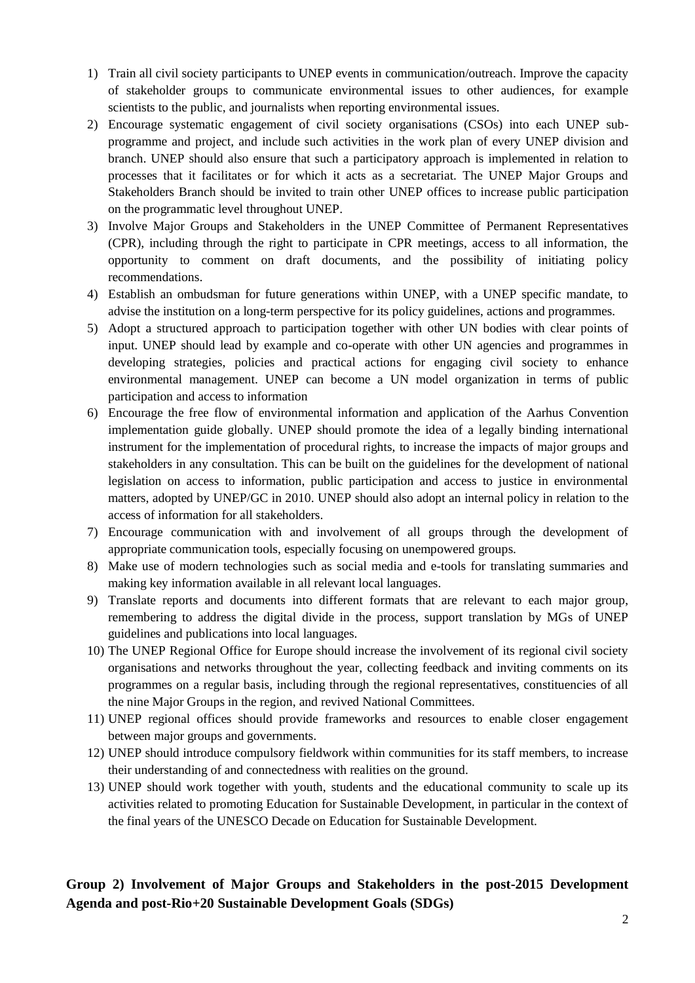- 1) Train all civil society participants to UNEP events in communication/outreach. Improve the capacity of stakeholder groups to communicate environmental issues to other audiences, for example scientists to the public, and journalists when reporting environmental issues.
- 2) Encourage systematic engagement of civil society organisations (CSOs) into each UNEP subprogramme and project, and include such activities in the work plan of every UNEP division and branch. UNEP should also ensure that such a participatory approach is implemented in relation to processes that it facilitates or for which it acts as a secretariat. The UNEP Major Groups and Stakeholders Branch should be invited to train other UNEP offices to increase public participation on the programmatic level throughout UNEP.
- 3) Involve Major Groups and Stakeholders in the UNEP Committee of Permanent Representatives (CPR), including through the right to participate in CPR meetings, access to all information, the opportunity to comment on draft documents, and the possibility of initiating policy recommendations.
- 4) Establish an ombudsman for future generations within UNEP, with a UNEP specific mandate, to advise the institution on a long-term perspective for its policy guidelines, actions and programmes.
- 5) Adopt a structured approach to participation together with other UN bodies with clear points of input. UNEP should lead by example and co-operate with other UN agencies and programmes in developing strategies, policies and practical actions for engaging civil society to enhance environmental management. UNEP can become a UN model organization in terms of public participation and access to information
- 6) Encourage the free flow of environmental information and application of the Aarhus Convention implementation guide globally. UNEP should promote the idea of a legally binding international instrument for the implementation of procedural rights, to increase the impacts of major groups and stakeholders in any consultation. This can be built on the guidelines for the development of national legislation on access to information, public participation and access to justice in environmental matters, adopted by UNEP/GC in 2010. UNEP should also adopt an internal policy in relation to the access of information for all stakeholders.
- 7) Encourage communication with and involvement of all groups through the development of appropriate communication tools, especially focusing on unempowered groups.
- 8) Make use of modern technologies such as social media and e-tools for translating summaries and making key information available in all relevant local languages.
- 9) Translate reports and documents into different formats that are relevant to each major group, remembering to address the digital divide in the process, support translation by MGs of UNEP guidelines and publications into local languages.
- 10) The UNEP Regional Office for Europe should increase the involvement of its regional civil society organisations and networks throughout the year, collecting feedback and inviting comments on its programmes on a regular basis, including through the regional representatives, constituencies of all the nine Major Groups in the region, and revived National Committees.
- 11) UNEP regional offices should provide frameworks and resources to enable closer engagement between major groups and governments.
- 12) UNEP should introduce compulsory fieldwork within communities for its staff members, to increase their understanding of and connectedness with realities on the ground.
- 13) UNEP should work together with youth, students and the educational community to scale up its activities related to promoting Education for Sustainable Development, in particular in the context of the final years of the UNESCO Decade on Education for Sustainable Development.

## **Group 2) Involvement of Major Groups and Stakeholders in the post-2015 Development Agenda and post-Rio+20 Sustainable Development Goals (SDGs)**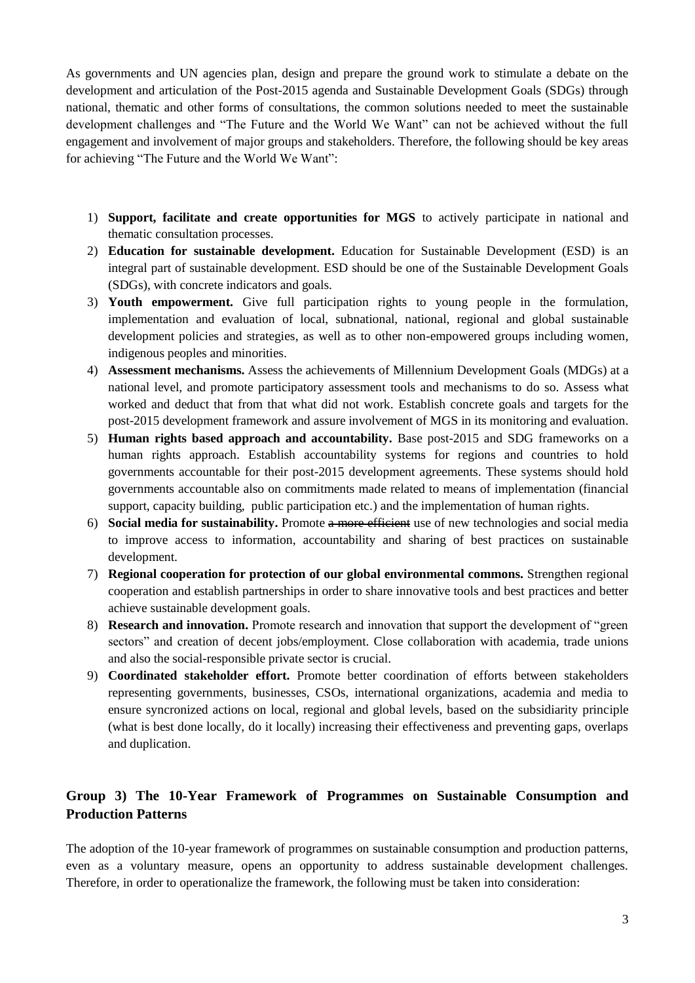As governments and UN agencies plan, design and prepare the ground work to stimulate a debate on the development and articulation of the Post-2015 agenda and Sustainable Development Goals (SDGs) through national, thematic and other forms of consultations, the common solutions needed to meet the sustainable development challenges and "The Future and the World We Want" can not be achieved without the full engagement and involvement of major groups and stakeholders. Therefore, the following should be key areas for achieving "The Future and the World We Want":

- 1) **Support, facilitate and create opportunities for MGS** to actively participate in national and thematic consultation processes.
- 2) **Education for sustainable development.** Education for Sustainable Development (ESD) is an integral part of sustainable development. ESD should be one of the Sustainable Development Goals (SDGs), with concrete indicators and goals.
- 3) **Youth empowerment.** Give full participation rights to young people in the formulation, implementation and evaluation of local, subnational, national, regional and global sustainable development policies and strategies, as well as to other non-empowered groups including women, indigenous peoples and minorities.
- 4) **Assessment mechanisms.** Assess the achievements of Millennium Development Goals (MDGs) at a national level, and promote participatory assessment tools and mechanisms to do so. Assess what worked and deduct that from that what did not work. Establish concrete goals and targets for the post-2015 development framework and assure involvement of MGS in its monitoring and evaluation.
- 5) **Human rights based approach and accountability.** Base post-2015 and SDG frameworks on a human rights approach. Establish accountability systems for regions and countries to hold governments accountable for their post-2015 development agreements. These systems should hold governments accountable also on commitments made related to means of implementation (financial support, capacity building, public participation etc.) and the implementation of human rights.
- 6) **Social media for sustainability.** Promote a more efficient use of new technologies and social media to improve access to information, accountability and sharing of best practices on sustainable development.
- 7) **Regional cooperation for protection of our global environmental commons.** Strengthen regional cooperation and establish partnerships in order to share innovative tools and best practices and better achieve sustainable development goals.
- 8) **Research and innovation.** Promote research and innovation that support the development of "green sectors" and creation of decent jobs/employment. Close collaboration with academia, trade unions and also the social-responsible private sector is crucial.
- 9) **Coordinated stakeholder effort.** Promote better coordination of efforts between stakeholders representing governments, businesses, CSOs, international organizations, academia and media to ensure syncronized actions on local, regional and global levels, based on the subsidiarity principle (what is best done locally, do it locally) increasing their effectiveness and preventing gaps, overlaps and duplication.

## **Group 3) The 10-Year Framework of Programmes on Sustainable Consumption and Production Patterns**

The adoption of the 10-year framework of programmes on sustainable consumption and production patterns, even as a voluntary measure, opens an opportunity to address sustainable development challenges. Therefore, in order to operationalize the framework, the following must be taken into consideration: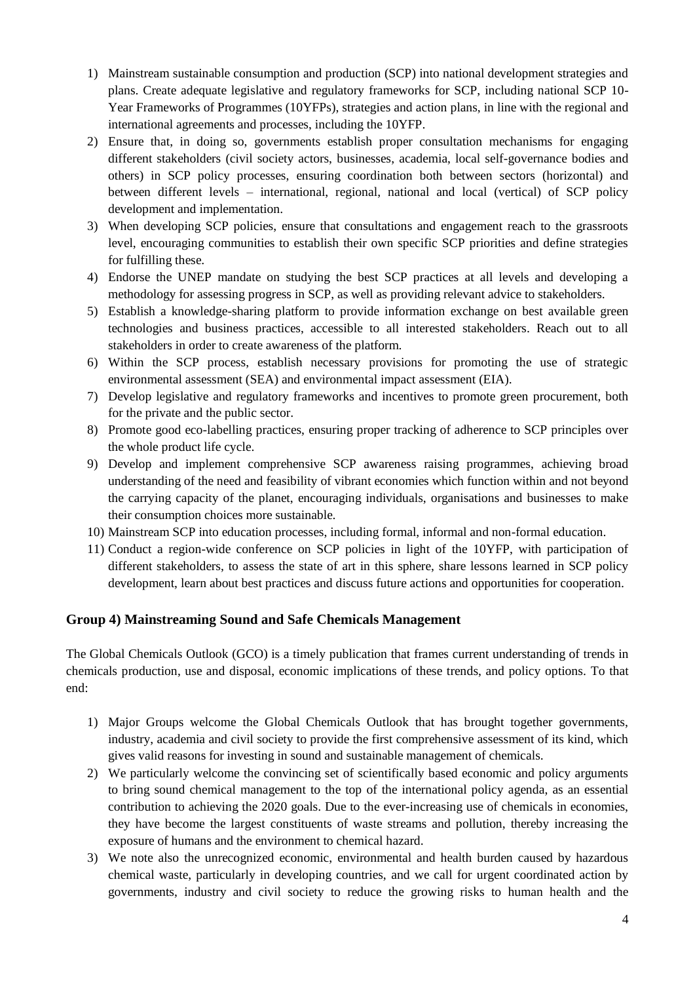- 1) Mainstream sustainable consumption and production (SCP) into national development strategies and plans. Create adequate legislative and regulatory frameworks for SCP, including national SCP 10- Year Frameworks of Programmes (10YFPs), strategies and action plans, in line with the regional and international agreements and processes, including the 10YFP.
- 2) Ensure that, in doing so, governments establish proper consultation mechanisms for engaging different stakeholders (civil society actors, businesses, academia, local self-governance bodies and others) in SCP policy processes, ensuring coordination both between sectors (horizontal) and between different levels – international, regional, national and local (vertical) of SCP policy development and implementation.
- 3) When developing SCP policies, ensure that consultations and engagement reach to the grassroots level, encouraging communities to establish their own specific SCP priorities and define strategies for fulfilling these.
- 4) Endorse the UNEP mandate on studying the best SCP practices at all levels and developing a methodology for assessing progress in SCP, as well as providing relevant advice to stakeholders.
- 5) Establish a knowledge-sharing platform to provide information exchange on best available green technologies and business practices, accessible to all interested stakeholders. Reach out to all stakeholders in order to create awareness of the platform.
- 6) Within the SCP process, establish necessary provisions for promoting the use of strategic environmental assessment (SEA) and environmental impact assessment (EIA).
- 7) Develop legislative and regulatory frameworks and incentives to promote green procurement, both for the private and the public sector.
- 8) Promote good eco-labelling practices, ensuring proper tracking of adherence to SCP principles over the whole product life cycle.
- 9) Develop and implement comprehensive SCP awareness raising programmes, achieving broad understanding of the need and feasibility of vibrant economies which function within and not beyond the carrying capacity of the planet, encouraging individuals, organisations and businesses to make their consumption choices more sustainable.
- 10) Mainstream SCP into education processes, including formal, informal and non-formal education.
- 11) Conduct a region-wide conference on SCP policies in light of the 10YFP, with participation of different stakeholders, to assess the state of art in this sphere, share lessons learned in SCP policy development, learn about best practices and discuss future actions and opportunities for cooperation.

#### **Group 4) Mainstreaming Sound and Safe Chemicals Management**

The Global Chemicals Outlook (GCO) is a timely publication that frames current understanding of trends in chemicals production, use and disposal, economic implications of these trends, and policy options. To that end:

- 1) Major Groups welcome the Global Chemicals Outlook that has brought together governments, industry, academia and civil society to provide the first comprehensive assessment of its kind, which gives valid reasons for investing in sound and sustainable management of chemicals.
- 2) We particularly welcome the convincing set of scientifically based economic and policy arguments to bring sound chemical management to the top of the international policy agenda, as an essential contribution to achieving the 2020 goals. Due to the ever-increasing use of chemicals in economies, they have become the largest constituents of waste streams and pollution, thereby increasing the exposure of humans and the environment to chemical hazard.
- 3) We note also the unrecognized economic, environmental and health burden caused by hazardous chemical waste, particularly in developing countries, and we call for urgent coordinated action by governments, industry and civil society to reduce the growing risks to human health and the